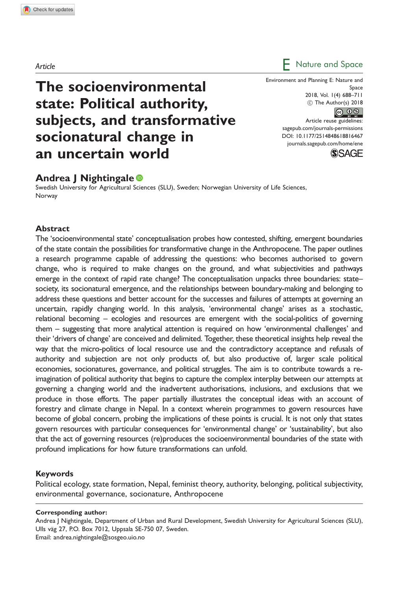Article **Article** Nature and Space

Environment and Planning E: Nature and Space 2018, Vol. 1(4) 688–711  $\circ$  The Author(s) 2018  $\circledcirc$   $\circledcirc$ 

> Article reuse guidelines: [sagepub.com/journals-permissions](https://uk.sagepub.com/en-gb/journals-permissions) DOI: [10.1177/2514848618816467](https://doi.org/10.1177/2514848618816467) <journals.sagepub.com/home/ene>



## Andrea J Nightingale

The socioenvironmental

state: Political authority,

socionatural change in

an uncertain world

subjects, and transformative

Swedish University for Agricultural Sciences (SLU), Sweden; Norwegian University of Life Sciences, Norway

### Abstract

The 'socioenvironmental state' conceptualisation probes how contested, shifting, emergent boundaries of the state contain the possibilities for transformative change in the Anthropocene. The paper outlines a research programme capable of addressing the questions: who becomes authorised to govern change, who is required to make changes on the ground, and what subjectivities and pathways emerge in the context of rapid rate change? The conceptualisation unpacks three boundaries: state– society, its socionatural emergence, and the relationships between boundary-making and belonging to address these questions and better account for the successes and failures of attempts at governing an uncertain, rapidly changing world. In this analysis, 'environmental change' arises as a stochastic, relational becoming – ecologies and resources are emergent with the social-politics of governing them – suggesting that more analytical attention is required on how 'environmental challenges' and their 'drivers of change' are conceived and delimited. Together, these theoretical insights help reveal the way that the micro-politics of local resource use and the contradictory acceptance and refusals of authority and subjection are not only products of, but also productive of, larger scale political economies, socionatures, governance, and political struggles. The aim is to contribute towards a reimagination of political authority that begins to capture the complex interplay between our attempts at governing a changing world and the inadvertent authorisations, inclusions, and exclusions that we produce in those efforts. The paper partially illustrates the conceptual ideas with an account of forestry and climate change in Nepal. In a context wherein programmes to govern resources have become of global concern, probing the implications of these points is crucial. It is not only that states govern resources with particular consequences for 'environmental change' or 'sustainability', but also that the act of governing resources (re)produces the socioenvironmental boundaries of the state with profound implications for how future transformations can unfold.

#### Keywords

Political ecology, state formation, Nepal, feminist theory, authority, belonging, political subjectivity, environmental governance, socionature, Anthropocene

#### Corresponding author:

Andrea J Nightingale, Department of Urban and Rural Development, Swedish University for Agricultural Sciences (SLU), Ulls väg 27, P.O. Box 7012, Uppsala SE-750 07, Sweden.

Email: andrea.nightingale@sosgeo.uio.no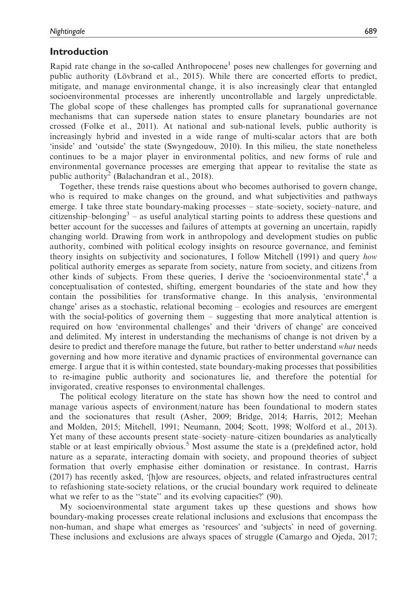## Introduction

Rapid rate change in the so-called Anthropocene<sup>1</sup> poses new challenges for governing and public authority (Lövbrand et al., 2015). While there are concerted efforts to predict, mitigate, and manage environmental change, it is also increasingly clear that entangled socioenvironmental processes are inherently uncontrollable and largely unpredictable. The global scope of these challenges has prompted calls for supranational governance mechanisms that can supersede nation states to ensure planetary boundaries are not crossed (Folke et al., 2011). At national and sub-national levels, public authority is increasingly hybrid and invested in a wide range of multi-scalar actors that are both 'inside' and 'outside' the state (Swyngedouw, 2010). In this milieu, the state nonetheless continues to be a major player in environmental politics, and new forms of rule and environmental governance processes are emerging that appear to revitalise the state as public authority<sup>2</sup> (Balachandran et al., 2018).

Together, these trends raise questions about who becomes authorised to govern change, who is required to make changes on the ground, and what subjectivities and pathways emerge. I take three state boundary-making processes – state–society, society–nature, and citizenship–belonging<sup>3</sup> – as useful analytical starting points to address these questions and better account for the successes and failures of attempts at governing an uncertain, rapidly changing world. Drawing from work in anthropology and development studies on public authority, combined with political ecology insights on resource governance, and feminist theory insights on subjectivity and socionatures, I follow Mitchell (1991) and query how political authority emerges as separate from society, nature from society, and citizens from other kinds of subjects. From these queries, I derive the 'socioenvironmental state', $4\ a$ conceptualisation of contested, shifting, emergent boundaries of the state and how they contain the possibilities for transformative change. In this analysis, 'environmental change' arises as a stochastic, relational becoming – ecologies and resources are emergent with the social-politics of governing them – suggesting that more analytical attention is required on how 'environmental challenges' and their 'drivers of change' are conceived and delimited. My interest in understanding the mechanisms of change is not driven by a desire to predict and therefore manage the future, but rather to better understand what needs governing and how more iterative and dynamic practices of environmental governance can emerge. I argue that it is within contested, state boundary-making processes that possibilities to re-imagine public authority and socionatures lie, and therefore the potential for invigorated, creative responses to environmental challenges.

The political ecology literature on the state has shown how the need to control and manage various aspects of environment/nature has been foundational to modern states and the socionatures that result (Asher, 2009; Bridge, 2014; Harris, 2012; Meehan and Molden, 2015; Mitchell, 1991; Neumann, 2004; Scott, 1998; Wolford et al., 2013). Yet many of these accounts present state–society–nature–citizen boundaries as analytically stable or at least empirically obvious.<sup>5</sup> Most assume the state is a (pre)defined actor, hold nature as a separate, interacting domain with society, and propound theories of subject formation that overly emphasise either domination or resistance. In contrast, Harris (2017) has recently asked, '[h]ow are resources, objects, and related infrastructures central to refashioning state-society relations, or the crucial boundary work required to delineate what we refer to as the "state" and its evolving capacities? (90).

My socioenvironmental state argument takes up these questions and shows how boundary-making processes create relational inclusions and exclusions that encompass the non-human, and shape what emerges as 'resources' and 'subjects' in need of governing. These inclusions and exclusions are always spaces of struggle (Camargo and Ojeda, 2017;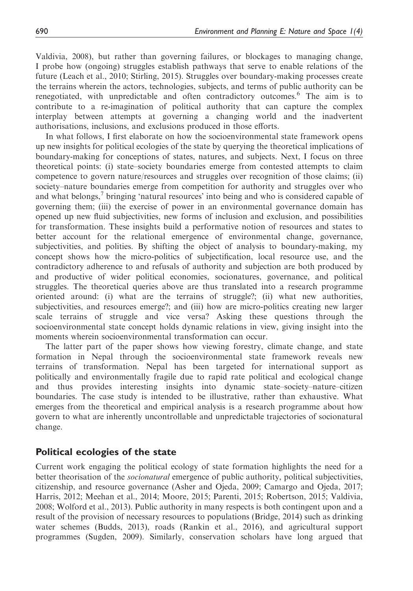Valdivia, 2008), but rather than governing failures, or blockages to managing change, I probe how (ongoing) struggles establish pathways that serve to enable relations of the future (Leach et al., 2010; Stirling, 2015). Struggles over boundary-making processes create the terrains wherein the actors, technologies, subjects, and terms of public authority can be renegotiated, with unpredictable and often contradictory outcomes.<sup>6</sup> The aim is to contribute to a re-imagination of political authority that can capture the complex interplay between attempts at governing a changing world and the inadvertent authorisations, inclusions, and exclusions produced in those efforts.

In what follows, I first elaborate on how the socioenvironmental state framework opens up new insights for political ecologies of the state by querying the theoretical implications of boundary-making for conceptions of states, natures, and subjects. Next, I focus on three theoretical points: (i) state–society boundaries emerge from contested attempts to claim competence to govern nature/resources and struggles over recognition of those claims; (ii) society–nature boundaries emerge from competition for authority and struggles over who and what belongs, $<sup>7</sup>$  bringing 'natural resources' into being and who is considered capable of</sup> governing them; (iii) the exercise of power in an environmental governance domain has opened up new fluid subjectivities, new forms of inclusion and exclusion, and possibilities for transformation. These insights build a performative notion of resources and states to better account for the relational emergence of environmental change, governance, subjectivities, and polities. By shifting the object of analysis to boundary-making, my concept shows how the micro-politics of subjectification, local resource use, and the contradictory adherence to and refusals of authority and subjection are both produced by and productive of wider political economies, socionatures, governance, and political struggles. The theoretical queries above are thus translated into a research programme oriented around: (i) what are the terrains of struggle?; (ii) what new authorities, subjectivities, and resources emerge?; and (iii) how are micro-politics creating new larger scale terrains of struggle and vice versa? Asking these questions through the socioenvironmental state concept holds dynamic relations in view, giving insight into the moments wherein socioenvironmental transformation can occur.

The latter part of the paper shows how viewing forestry, climate change, and state formation in Nepal through the socioenvironmental state framework reveals new terrains of transformation. Nepal has been targeted for international support as politically and environmentally fragile due to rapid rate political and ecological change and thus provides interesting insights into dynamic state–society–nature–citizen boundaries. The case study is intended to be illustrative, rather than exhaustive. What emerges from the theoretical and empirical analysis is a research programme about how govern to what are inherently uncontrollable and unpredictable trajectories of socionatural change.

## Political ecologies of the state

Current work engaging the political ecology of state formation highlights the need for a better theorisation of the *socionatural* emergence of public authority, political subjectivities, citizenship, and resource governance (Asher and Ojeda, 2009; Camargo and Ojeda, 2017; Harris, 2012; Meehan et al., 2014; Moore, 2015; Parenti, 2015; Robertson, 2015; Valdivia, 2008; Wolford et al., 2013). Public authority in many respects is both contingent upon and a result of the provision of necessary resources to populations (Bridge, 2014) such as drinking water schemes (Budds, 2013), roads (Rankin et al., 2016), and agricultural support programmes (Sugden, 2009). Similarly, conservation scholars have long argued that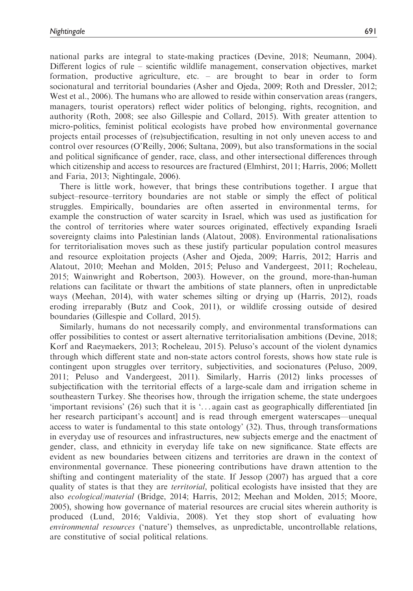national parks are integral to state-making practices (Devine, 2018; Neumann, 2004). Different logics of rule – scientific wildlife management, conservation objectives, market formation, productive agriculture, etc. – are brought to bear in order to form socionatural and territorial boundaries (Asher and Ojeda, 2009; Roth and Dressler, 2012; West et al., 2006). The humans who are allowed to reside within conservation areas (rangers, managers, tourist operators) reflect wider politics of belonging, rights, recognition, and authority (Roth, 2008; see also Gillespie and Collard, 2015). With greater attention to micro-politics, feminist political ecologists have probed how environmental governance projects entail processes of (re)subjectification, resulting in not only uneven access to and control over resources (O'Reilly, 2006; Sultana, 2009), but also transformations in the social and political significance of gender, race, class, and other intersectional differences through which citizenship and access to resources are fractured (Elmhirst, 2011; Harris, 2006; Mollett and Faria, 2013; Nightingale, 2006).

There is little work, however, that brings these contributions together. I argue that subject–resource–territory boundaries are not stable or simply the effect of political struggles. Empirically, boundaries are often asserted in environmental terms, for example the construction of water scarcity in Israel, which was used as justification for the control of territories where water sources originated, effectively expanding Israeli sovereignty claims into Palestinian lands (Alatout, 2008). Environmental rationalisations for territorialisation moves such as these justify particular population control measures and resource exploitation projects (Asher and Ojeda, 2009; Harris, 2012; Harris and Alatout, 2010; Meehan and Molden, 2015; Peluso and Vandergeest, 2011; Rocheleau, 2015; Wainwright and Robertson, 2003). However, on the ground, more-than-human relations can facilitate or thwart the ambitions of state planners, often in unpredictable ways (Meehan, 2014), with water schemes silting or drying up (Harris, 2012), roads eroding irreparably (Butz and Cook, 2011), or wildlife crossing outside of desired boundaries (Gillespie and Collard, 2015).

Similarly, humans do not necessarily comply, and environmental transformations can offer possibilities to contest or assert alternative territorialisation ambitions (Devine, 2018; Korf and Raeymaekers, 2013; Rocheleau, 2015). Peluso's account of the violent dynamics through which different state and non-state actors control forests, shows how state rule is contingent upon struggles over territory, subjectivities, and socionatures (Peluso, 2009, 2011; Peluso and Vandergeest, 2011). Similarly, Harris (2012) links processes of subjectification with the territorial effects of a large-scale dam and irrigation scheme in southeastern Turkey. She theorises how, through the irrigation scheme, the state undergoes 'important revisions' (26) such that it is '... again cast as geographically differentiated [in her research participant's account and is read through emergent waterscapes—unequal access to water is fundamental to this state ontology' (32). Thus, through transformations in everyday use of resources and infrastructures, new subjects emerge and the enactment of gender, class, and ethnicity in everyday life take on new significance. State effects are evident as new boundaries between citizens and territories are drawn in the context of environmental governance. These pioneering contributions have drawn attention to the shifting and contingent materiality of the state. If Jessop (2007) has argued that a core quality of states is that they are *territorial*, political ecologists have insisted that they are also ecological/material (Bridge, 2014; Harris, 2012; Meehan and Molden, 2015; Moore, 2005), showing how governance of material resources are crucial sites wherein authority is produced (Lund, 2016; Valdivia, 2008). Yet they stop short of evaluating how environmental resources ('nature') themselves, as unpredictable, uncontrollable relations, are constitutive of social political relations.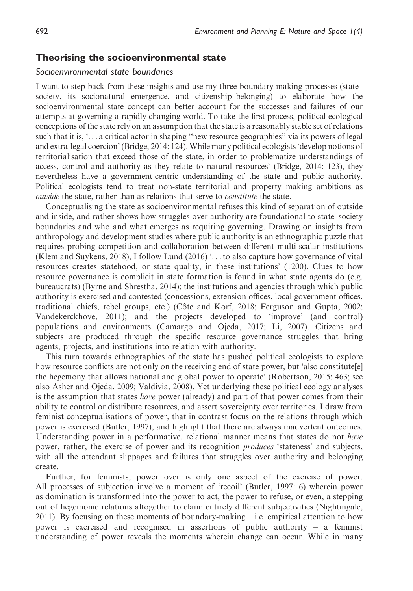## Theorising the socioenvironmental state

### Socioenvironmental state boundaries

I want to step back from these insights and use my three boundary-making processes (state– society, its socionatural emergence, and citizenship–belonging) to elaborate how the socioenvironmental state concept can better account for the successes and failures of our attempts at governing a rapidly changing world. To take the first process, political ecological conceptions of the state rely on an assumption that the state is a reasonably stable set of relations such that it is, '... a critical actor in shaping ''new resource geographies'' via its powers of legal and extra-legal coercion' (Bridge, 2014: 124). While many political ecologists 'develop notions of territorialisation that exceed those of the state, in order to problematize understandings of access, control and authority as they relate to natural resources' (Bridge, 2014: 123), they nevertheless have a government-centric understanding of the state and public authority. Political ecologists tend to treat non-state territorial and property making ambitions as outside the state, rather than as relations that serve to constitute the state.

Conceptualising the state as socioenvironmental refuses this kind of separation of outside and inside, and rather shows how struggles over authority are foundational to state–society boundaries and who and what emerges as requiring governing. Drawing on insights from anthropology and development studies where public authority is an ethnographic puzzle that requires probing competition and collaboration between different multi-scalar institutions (Klem and Suykens, 2018), I follow Lund (2016) '... to also capture how governance of vital resources creates statehood, or state quality, in these institutions' (1200). Clues to how resource governance is complicit in state formation is found in what state agents do (e.g. bureaucrats) (Byrne and Shrestha, 2014); the institutions and agencies through which public authority is exercised and contested (concessions, extension offices, local government offices, traditional chiefs, rebel groups, etc.) (Côte and Korf, 2018; Ferguson and Gupta, 2002; Vandekerckhove, 2011); and the projects developed to 'improve' (and control) populations and environments (Camargo and Ojeda, 2017; Li, 2007). Citizens and subjects are produced through the specific resource governance struggles that bring agents, projects, and institutions into relation with authority.

This turn towards ethnographies of the state has pushed political ecologists to explore how resource conflicts are not only on the receiving end of state power, but 'also constitute[e] the hegemony that allows national and global power to operate' (Robertson, 2015: 463; see also Asher and Ojeda, 2009; Valdivia, 2008). Yet underlying these political ecology analyses is the assumption that states *have* power (already) and part of that power comes from their ability to control or distribute resources, and assert sovereignty over territories. I draw from feminist conceptualisations of power, that in contrast focus on the relations through which power is exercised (Butler, 1997), and highlight that there are always inadvertent outcomes. Understanding power in a performative, relational manner means that states do not *have* power, rather, the exercise of power and its recognition *produces* 'stateness' and subjects, with all the attendant slippages and failures that struggles over authority and belonging create.

Further, for feminists, power over is only one aspect of the exercise of power. All processes of subjection involve a moment of 'recoil' (Butler, 1997: 6) wherein power as domination is transformed into the power to act, the power to refuse, or even, a stepping out of hegemonic relations altogether to claim entirely different subjectivities (Nightingale, 2011). By focusing on these moments of boundary-making  $-$  i.e. empirical attention to how power is exercised and recognised in assertions of public authority – a feminist understanding of power reveals the moments wherein change can occur. While in many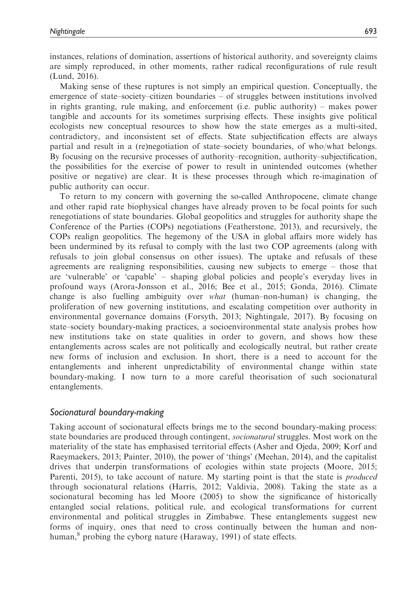instances, relations of domination, assertions of historical authority, and sovereignty claims are simply reproduced, in other moments, rather radical reconfigurations of rule result (Lund, 2016).

Making sense of these ruptures is not simply an empirical question. Conceptually, the emergence of state–society–citizen boundaries – of struggles between institutions involved in rights granting, rule making, and enforcement (i.e. public authority) – makes power tangible and accounts for its sometimes surprising effects. These insights give political ecologists new conceptual resources to show how the state emerges as a multi-sited, contradictory, and inconsistent set of effects. State subjectification effects are always partial and result in a (re)negotiation of state–society boundaries, of who/what belongs. By focusing on the recursive processes of authority–recognition, authority–subjectification, the possibilities for the exercise of power to result in unintended outcomes (whether positive or negative) are clear. It is these processes through which re-imagination of public authority can occur.

To return to my concern with governing the so-called Anthropocene, climate change and other rapid rate biophysical changes have already proven to be focal points for such renegotiations of state boundaries. Global geopolitics and struggles for authority shape the Conference of the Parties (COPs) negotiations (Featherstone, 2013), and recursively, the COPs realign geopolitics. The hegemony of the USA in global affairs more widely has been undermined by its refusal to comply with the last two COP agreements (along with refusals to join global consensus on other issues). The uptake and refusals of these agreements are realigning responsibilities, causing new subjects to emerge – those that are 'vulnerable' or 'capable' – shaping global policies and people's everyday lives in profound ways (Arora-Jonsson et al., 2016; Bee et al., 2015; Gonda, 2016). Climate change is also fuelling ambiguity over *what* (human–non-human) is changing, the proliferation of new governing institutions, and escalating competition over authority in environmental governance domains (Forsyth, 2013; Nightingale, 2017). By focusing on state–society boundary-making practices, a socioenvironmental state analysis probes how new institutions take on state qualities in order to govern, and shows how these entanglements across scales are not politically and ecologically neutral, but rather create new forms of inclusion and exclusion. In short, there is a need to account for the entanglements and inherent unpredictability of environmental change within state boundary-making. I now turn to a more careful theorisation of such socionatural entanglements.

## Socionatural boundary-making

Taking account of socionatural effects brings me to the second boundary-making process: state boundaries are produced through contingent, *socionatural* struggles. Most work on the materiality of the state has emphasised territorial effects (Asher and Ojeda, 2009; Korf and Raeymaekers, 2013; Painter, 2010), the power of 'things' (Meehan, 2014), and the capitalist drives that underpin transformations of ecologies within state projects (Moore, 2015; Parenti, 2015), to take account of nature. My starting point is that the state is produced through socionatural relations (Harris, 2012; Valdivia, 2008). Taking the state as a socionatural becoming has led Moore (2005) to show the significance of historically entangled social relations, political rule, and ecological transformations for current environmental and political struggles in Zimbabwe. These entanglements suggest new forms of inquiry, ones that need to cross continually between the human and nonhuman, $\delta$  probing the cyborg nature (Haraway, 1991) of state effects.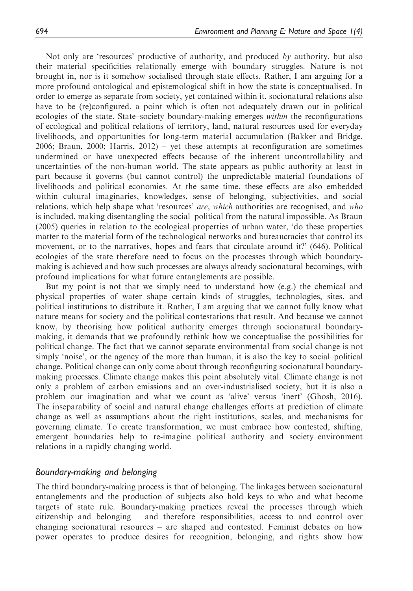Not only are 'resources' productive of authority, and produced by authority, but also their material specificities relationally emerge with boundary struggles. Nature is not brought in, nor is it somehow socialised through state effects. Rather, I am arguing for a more profound ontological and epistemological shift in how the state is conceptualised. In order to emerge as separate from society, yet contained within it, socionatural relations also have to be (re)configured, a point which is often not adequately drawn out in political ecologies of the state. State–society boundary-making emerges within the reconfigurations of ecological and political relations of territory, land, natural resources used for everyday livelihoods, and opportunities for long-term material accumulation (Bakker and Bridge, 2006; Braun, 2000; Harris, 2012) – yet these attempts at reconfiguration are sometimes undermined or have unexpected effects because of the inherent uncontrollability and uncertainties of the non-human world. The state appears as public authority at least in part because it governs (but cannot control) the unpredictable material foundations of livelihoods and political economies. At the same time, these effects are also embedded within cultural imaginaries, knowledges, sense of belonging, subjectivities, and social relations, which help shape what 'resources' *are, which* authorities are recognised, and who is included, making disentangling the social–political from the natural impossible. As Braun (2005) queries in relation to the ecological properties of urban water, 'do these properties matter to the material form of the technological networks and bureaucracies that control its movement, or to the narratives, hopes and fears that circulate around it?' (646). Political ecologies of the state therefore need to focus on the processes through which boundarymaking is achieved and how such processes are always already socionatural becomings, with profound implications for what future entanglements are possible.

But my point is not that we simply need to understand how (e.g.) the chemical and physical properties of water shape certain kinds of struggles, technologies, sites, and political institutions to distribute it. Rather, I am arguing that we cannot fully know what nature means for society and the political contestations that result. And because we cannot know, by theorising how political authority emerges through socionatural boundarymaking, it demands that we profoundly rethink how we conceptualise the possibilities for political change. The fact that we cannot separate environmental from social change is not simply 'noise', or the agency of the more than human, it is also the key to social–political change. Political change can only come about through reconfiguring socionatural boundarymaking processes. Climate change makes this point absolutely vital. Climate change is not only a problem of carbon emissions and an over-industrialised society, but it is also a problem our imagination and what we count as 'alive' versus 'inert' (Ghosh, 2016). The inseparability of social and natural change challenges efforts at prediction of climate change as well as assumptions about the right institutions, scales, and mechanisms for governing climate. To create transformation, we must embrace how contested, shifting, emergent boundaries help to re-imagine political authority and society–environment relations in a rapidly changing world.

### Boundary-making and belonging

The third boundary-making process is that of belonging. The linkages between socionatural entanglements and the production of subjects also hold keys to who and what become targets of state rule. Boundary-making practices reveal the processes through which citizenship and belonging – and therefore responsibilities, access to and control over changing socionatural resources – are shaped and contested. Feminist debates on how power operates to produce desires for recognition, belonging, and rights show how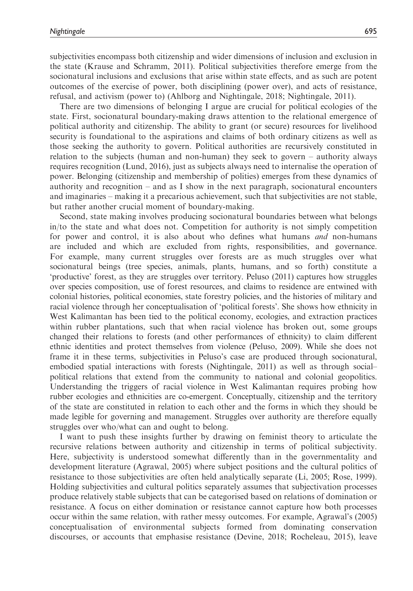subjectivities encompass both citizenship and wider dimensions of inclusion and exclusion in the state (Krause and Schramm, 2011). Political subjectivities therefore emerge from the socionatural inclusions and exclusions that arise within state effects, and as such are potent outcomes of the exercise of power, both disciplining (power over), and acts of resistance, refusal, and activism (power to) (Ahlborg and Nightingale, 2018; Nightingale, 2011).

There are two dimensions of belonging I argue are crucial for political ecologies of the state. First, socionatural boundary-making draws attention to the relational emergence of political authority and citizenship. The ability to grant (or secure) resources for livelihood security is foundational to the aspirations and claims of both ordinary citizens as well as those seeking the authority to govern. Political authorities are recursively constituted in relation to the subjects (human and non-human) they seek to govern – authority always requires recognition (Lund, 2016), just as subjects always need to internalise the operation of power. Belonging (citizenship and membership of polities) emerges from these dynamics of authority and recognition – and as I show in the next paragraph, socionatural encounters and imaginaries – making it a precarious achievement, such that subjectivities are not stable, but rather another crucial moment of boundary-making.

Second, state making involves producing socionatural boundaries between what belongs in/to the state and what does not. Competition for authority is not simply competition for power and control, it is also about who defines what humans and non-humans are included and which are excluded from rights, responsibilities, and governance. For example, many current struggles over forests are as much struggles over what socionatural beings (tree species, animals, plants, humans, and so forth) constitute a 'productive' forest, as they are struggles over territory. Peluso (2011) captures how struggles over species composition, use of forest resources, and claims to residence are entwined with colonial histories, political economies, state forestry policies, and the histories of military and racial violence through her conceptualisation of 'political forests'. She shows how ethnicity in West Kalimantan has been tied to the political economy, ecologies, and extraction practices within rubber plantations, such that when racial violence has broken out, some groups changed their relations to forests (and other performances of ethnicity) to claim different ethnic identities and protect themselves from violence (Peluso, 2009). While she does not frame it in these terms, subjectivities in Peluso's case are produced through socionatural, embodied spatial interactions with forests (Nightingale, 2011) as well as through social– political relations that extend from the community to national and colonial geopolitics. Understanding the triggers of racial violence in West Kalimantan requires probing how rubber ecologies and ethnicities are co-emergent. Conceptually, citizenship and the territory of the state are constituted in relation to each other and the forms in which they should be made legible for governing and management. Struggles over authority are therefore equally struggles over who/what can and ought to belong.

I want to push these insights further by drawing on feminist theory to articulate the recursive relations between authority and citizenship in terms of political subjectivity. Here, subjectivity is understood somewhat differently than in the governmentality and development literature (Agrawal, 2005) where subject positions and the cultural politics of resistance to those subjectivities are often held analytically separate (Li, 2005; Rose, 1999). Holding subjectivities and cultural politics separately assumes that subjectivation processes produce relatively stable subjects that can be categorised based on relations of domination or resistance. A focus on either domination or resistance cannot capture how both processes occur within the same relation, with rather messy outcomes. For example, Agrawal's (2005) conceptualisation of environmental subjects formed from dominating conservation discourses, or accounts that emphasise resistance (Devine, 2018; Rocheleau, 2015), leave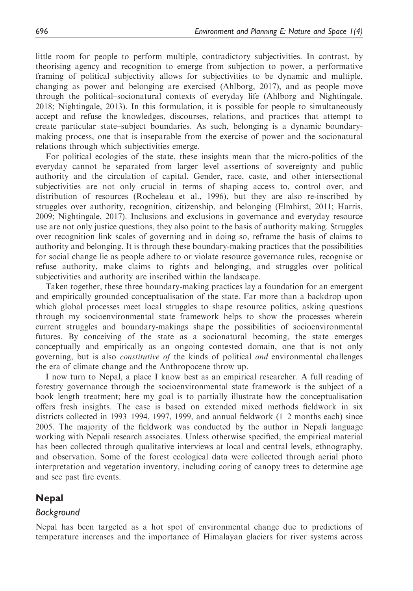little room for people to perform multiple, contradictory subjectivities. In contrast, by theorising agency and recognition to emerge from subjection to power, a performative framing of political subjectivity allows for subjectivities to be dynamic and multiple, changing as power and belonging are exercised (Ahlborg, 2017), and as people move through the political–socionatural contexts of everyday life (Ahlborg and Nightingale, 2018; Nightingale, 2013). In this formulation, it is possible for people to simultaneously accept and refuse the knowledges, discourses, relations, and practices that attempt to create particular state–subject boundaries. As such, belonging is a dynamic boundarymaking process, one that is inseparable from the exercise of power and the socionatural relations through which subjectivities emerge.

For political ecologies of the state, these insights mean that the micro-politics of the everyday cannot be separated from larger level assertions of sovereignty and public authority and the circulation of capital. Gender, race, caste, and other intersectional subjectivities are not only crucial in terms of shaping access to, control over, and distribution of resources (Rocheleau et al., 1996), but they are also re-inscribed by struggles over authority, recognition, citizenship, and belonging (Elmhirst, 2011; Harris, 2009; Nightingale, 2017). Inclusions and exclusions in governance and everyday resource use are not only justice questions, they also point to the basis of authority making. Struggles over recognition link scales of governing and in doing so, reframe the basis of claims to authority and belonging. It is through these boundary-making practices that the possibilities for social change lie as people adhere to or violate resource governance rules, recognise or refuse authority, make claims to rights and belonging, and struggles over political subjectivities and authority are inscribed within the landscape.

Taken together, these three boundary-making practices lay a foundation for an emergent and empirically grounded conceptualisation of the state. Far more than a backdrop upon which global processes meet local struggles to shape resource politics, asking questions through my socioenvironmental state framework helps to show the processes wherein current struggles and boundary-makings shape the possibilities of socioenvironmental futures. By conceiving of the state as a socionatural becoming, the state emerges conceptually and empirically as an ongoing contested domain, one that is not only governing, but is also constitutive of the kinds of political and environmental challenges the era of climate change and the Anthropocene throw up.

I now turn to Nepal, a place I know best as an empirical researcher. A full reading of forestry governance through the socioenvironmental state framework is the subject of a book length treatment; here my goal is to partially illustrate how the conceptualisation offers fresh insights. The case is based on extended mixed methods fieldwork in six districts collected in 1993–1994, 1997, 1999, and annual fieldwork (1–2 months each) since 2005. The majority of the fieldwork was conducted by the author in Nepali language working with Nepali research associates. Unless otherwise specified, the empirical material has been collected through qualitative interviews at local and central levels, ethnography, and observation. Some of the forest ecological data were collected through aerial photo interpretation and vegetation inventory, including coring of canopy trees to determine age and see past fire events.

## Nepal

## Background

Nepal has been targeted as a hot spot of environmental change due to predictions of temperature increases and the importance of Himalayan glaciers for river systems across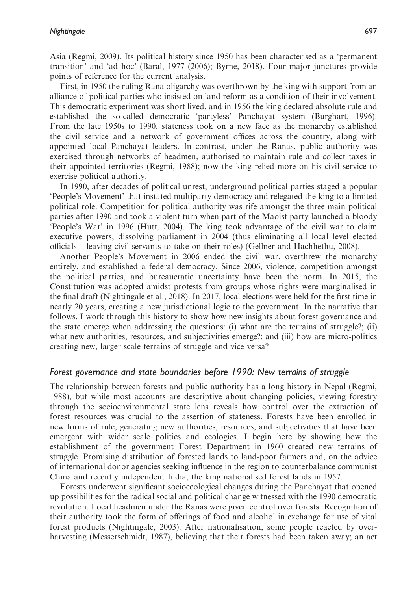Asia (Regmi, 2009). Its political history since 1950 has been characterised as a 'permanent transition' and 'ad hoc' (Baral, 1977 (2006); Byrne, 2018). Four major junctures provide points of reference for the current analysis.

First, in 1950 the ruling Rana oligarchy was overthrown by the king with support from an alliance of political parties who insisted on land reform as a condition of their involvement. This democratic experiment was short lived, and in 1956 the king declared absolute rule and established the so-called democratic 'partyless' Panchayat system (Burghart, 1996). From the late 1950s to 1990, stateness took on a new face as the monarchy established the civil service and a network of government offices across the country, along with appointed local Panchayat leaders. In contrast, under the Ranas, public authority was exercised through networks of headmen, authorised to maintain rule and collect taxes in their appointed territories (Regmi, 1988); now the king relied more on his civil service to exercise political authority.

In 1990, after decades of political unrest, underground political parties staged a popular 'People's Movement' that instated multiparty democracy and relegated the king to a limited political role. Competition for political authority was rife amongst the three main political parties after 1990 and took a violent turn when part of the Maoist party launched a bloody 'People's War' in 1996 (Hutt, 2004). The king took advantage of the civil war to claim executive powers, dissolving parliament in 2004 (thus eliminating all local level elected officials – leaving civil servants to take on their roles) (Gellner and Hachhethu, 2008).

Another People's Movement in 2006 ended the civil war, overthrew the monarchy entirely, and established a federal democracy. Since 2006, violence, competition amongst the political parties, and bureaucratic uncertainty have been the norm. In 2015, the Constitution was adopted amidst protests from groups whose rights were marginalised in the final draft (Nightingale et al., 2018). In 2017, local elections were held for the first time in nearly 20 years, creating a new jurisdictional logic to the government. In the narrative that follows, I work through this history to show how new insights about forest governance and the state emerge when addressing the questions: (i) what are the terrains of struggle?; (ii) what new authorities, resources, and subjectivities emerge?; and (iii) how are micro-politics creating new, larger scale terrains of struggle and vice versa?

## Forest governance and state boundaries before 1990: New terrains of struggle

The relationship between forests and public authority has a long history in Nepal (Regmi, 1988), but while most accounts are descriptive about changing policies, viewing forestry through the socioenvironmental state lens reveals how control over the extraction of forest resources was crucial to the assertion of stateness. Forests have been enrolled in new forms of rule, generating new authorities, resources, and subjectivities that have been emergent with wider scale politics and ecologies. I begin here by showing how the establishment of the government Forest Department in 1960 created new terrains of struggle. Promising distribution of forested lands to land-poor farmers and, on the advice of international donor agencies seeking influence in the region to counterbalance communist China and recently independent India, the king nationalised forest lands in 1957.

Forests underwent significant socioecological changes during the Panchayat that opened up possibilities for the radical social and political change witnessed with the 1990 democratic revolution. Local headmen under the Ranas were given control over forests. Recognition of their authority took the form of offerings of food and alcohol in exchange for use of vital forest products (Nightingale, 2003). After nationalisation, some people reacted by overharvesting (Messerschmidt, 1987), believing that their forests had been taken away; an act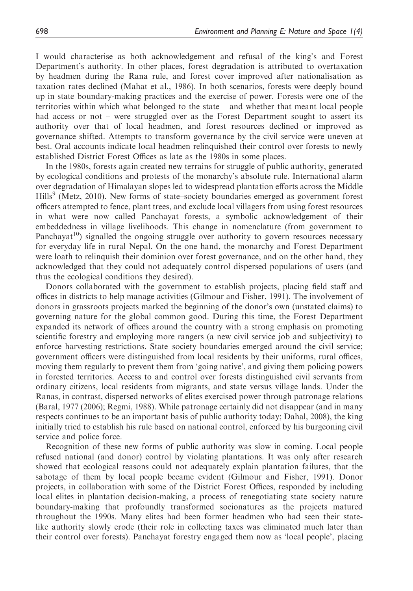I would characterise as both acknowledgement and refusal of the king's and Forest Department's authority. In other places, forest degradation is attributed to overtaxation by headmen during the Rana rule, and forest cover improved after nationalisation as taxation rates declined (Mahat et al., 1986). In both scenarios, forests were deeply bound up in state boundary-making practices and the exercise of power. Forests were one of the territories within which what belonged to the state – and whether that meant local people had access or not – were struggled over as the Forest Department sought to assert its authority over that of local headmen, and forest resources declined or improved as governance shifted. Attempts to transform governance by the civil service were uneven at best. Oral accounts indicate local headmen relinquished their control over forests to newly established District Forest Offices as late as the 1980s in some places.

In the 1980s, forests again created new terrains for struggle of public authority, generated by ecological conditions and protests of the monarchy's absolute rule. International alarm over degradation of Himalayan slopes led to widespread plantation efforts across the Middle  $Hills<sup>9</sup>$  (Metz, 2010). New forms of state–society boundaries emerged as government forest officers attempted to fence, plant trees, and exclude local villagers from using forest resources in what were now called Panchayat forests, a symbolic acknowledgement of their embeddedness in village livelihoods. This change in nomenclature (from government to Panchayat<sup>10</sup>) signalled the ongoing struggle over authority to govern resources necessary for everyday life in rural Nepal. On the one hand, the monarchy and Forest Department were loath to relinquish their dominion over forest governance, and on the other hand, they acknowledged that they could not adequately control dispersed populations of users (and thus the ecological conditions they desired).

Donors collaborated with the government to establish projects, placing field staff and offices in districts to help manage activities (Gilmour and Fisher, 1991). The involvement of donors in grassroots projects marked the beginning of the donor's own (unstated claims) to governing nature for the global common good. During this time, the Forest Department expanded its network of offices around the country with a strong emphasis on promoting scientific forestry and employing more rangers (a new civil service job and subjectivity) to enforce harvesting restrictions. State–society boundaries emerged around the civil service; government officers were distinguished from local residents by their uniforms, rural offices, moving them regularly to prevent them from 'going native', and giving them policing powers in forested territories. Access to and control over forests distinguished civil servants from ordinary citizens, local residents from migrants, and state versus village lands. Under the Ranas, in contrast, dispersed networks of elites exercised power through patronage relations (Baral, 1977 (2006); Regmi, 1988). While patronage certainly did not disappear (and in many respects continues to be an important basis of public authority today; Dahal, 2008), the king initially tried to establish his rule based on national control, enforced by his burgeoning civil service and police force.

Recognition of these new forms of public authority was slow in coming. Local people refused national (and donor) control by violating plantations. It was only after research showed that ecological reasons could not adequately explain plantation failures, that the sabotage of them by local people became evident (Gilmour and Fisher, 1991). Donor projects, in collaboration with some of the District Forest Offices, responded by including local elites in plantation decision-making, a process of renegotiating state–society–nature boundary-making that profoundly transformed socionatures as the projects matured throughout the 1990s. Many elites had been former headmen who had seen their statelike authority slowly erode (their role in collecting taxes was eliminated much later than their control over forests). Panchayat forestry engaged them now as 'local people', placing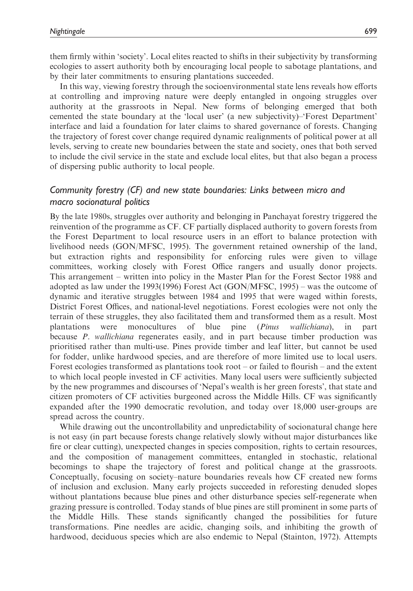them firmly within 'society'. Local elites reacted to shifts in their subjectivity by transforming ecologies to assert authority both by encouraging local people to sabotage plantations, and by their later commitments to ensuring plantations succeeded.

In this way, viewing forestry through the socioenvironmental state lens reveals how efforts at controlling and improving nature were deeply entangled in ongoing struggles over authority at the grassroots in Nepal. New forms of belonging emerged that both cemented the state boundary at the 'local user' (a new subjectivity)–'Forest Department' interface and laid a foundation for later claims to shared governance of forests. Changing the trajectory of forest cover change required dynamic realignments of political power at all levels, serving to create new boundaries between the state and society, ones that both served to include the civil service in the state and exclude local elites, but that also began a process of dispersing public authority to local people.

## Community forestry (CF) and new state boundaries: Links between micro and macro socionatural politics

By the late 1980s, struggles over authority and belonging in Panchayat forestry triggered the reinvention of the programme as CF. CF partially displaced authority to govern forests from the Forest Department to local resource users in an effort to balance protection with livelihood needs (GON/MFSC, 1995). The government retained ownership of the land, but extraction rights and responsibility for enforcing rules were given to village committees, working closely with Forest Office rangers and usually donor projects. This arrangement – written into policy in the Master Plan for the Forest Sector 1988 and adopted as law under the 1993(1996) Forest Act (GON/MFSC, 1995) – was the outcome of dynamic and iterative struggles between 1984 and 1995 that were waged within forests, District Forest Offices, and national-level negotiations. Forest ecologies were not only the terrain of these struggles, they also facilitated them and transformed them as a result. Most plantations were monocultures of blue pine (Pinus wallichiana), in part because P. wallichiana regenerates easily, and in part because timber production was prioritised rather than multi-use. Pines provide timber and leaf litter, but cannot be used for fodder, unlike hardwood species, and are therefore of more limited use to local users. Forest ecologies transformed as plantations took root – or failed to flourish – and the extent to which local people invested in CF activities. Many local users were sufficiently subjected by the new programmes and discourses of 'Nepal's wealth is her green forests', that state and citizen promoters of CF activities burgeoned across the Middle Hills. CF was significantly expanded after the 1990 democratic revolution, and today over 18,000 user-groups are spread across the country.

While drawing out the uncontrollability and unpredictability of socionatural change here is not easy (in part because forests change relatively slowly without major disturbances like fire or clear cutting), unexpected changes in species composition, rights to certain resources, and the composition of management committees, entangled in stochastic, relational becomings to shape the trajectory of forest and political change at the grassroots. Conceptually, focusing on society–nature boundaries reveals how CF created new forms of inclusion and exclusion. Many early projects succeeded in reforesting denuded slopes without plantations because blue pines and other disturbance species self-regenerate when grazing pressure is controlled. Today stands of blue pines are still prominent in some parts of the Middle Hills. These stands significantly changed the possibilities for future transformations. Pine needles are acidic, changing soils, and inhibiting the growth of hardwood, deciduous species which are also endemic to Nepal (Stainton, 1972). Attempts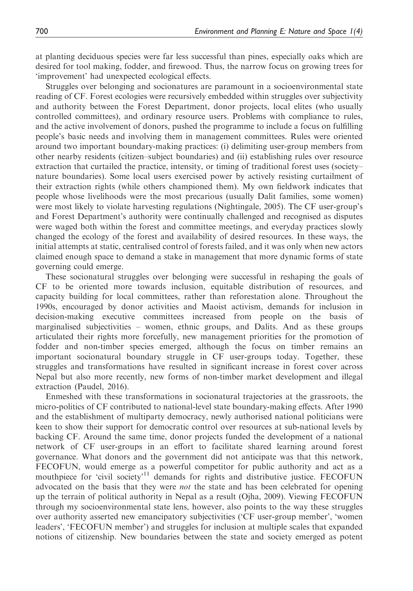at planting deciduous species were far less successful than pines, especially oaks which are desired for tool making, fodder, and firewood. Thus, the narrow focus on growing trees for 'improvement' had unexpected ecological effects.

Struggles over belonging and socionatures are paramount in a socioenvironmental state reading of CF. Forest ecologies were recursively embedded within struggles over subjectivity and authority between the Forest Department, donor projects, local elites (who usually controlled committees), and ordinary resource users. Problems with compliance to rules, and the active involvement of donors, pushed the programme to include a focus on fulfilling people's basic needs and involving them in management committees. Rules were oriented around two important boundary-making practices: (i) delimiting user-group members from other nearby residents (citizen–subject boundaries) and (ii) establishing rules over resource extraction that curtailed the practice, intensity, or timing of traditional forest uses (society– nature boundaries). Some local users exercised power by actively resisting curtailment of their extraction rights (while others championed them). My own fieldwork indicates that people whose livelihoods were the most precarious (usually Dalit families, some women) were most likely to violate harvesting regulations (Nightingale, 2005). The CF user-group's and Forest Department's authority were continually challenged and recognised as disputes were waged both within the forest and committee meetings, and everyday practices slowly changed the ecology of the forest and availability of desired resources. In these ways, the initial attempts at static, centralised control of forests failed, and it was only when new actors claimed enough space to demand a stake in management that more dynamic forms of state governing could emerge.

These socionatural struggles over belonging were successful in reshaping the goals of CF to be oriented more towards inclusion, equitable distribution of resources, and capacity building for local committees, rather than reforestation alone. Throughout the 1990s, encouraged by donor activities and Maoist activism, demands for inclusion in decision-making executive committees increased from people on the basis marginalised subjectivities – women, ethnic groups, and Dalits. And as these groups articulated their rights more forcefully, new management priorities for the promotion of fodder and non-timber species emerged, although the focus on timber remains an important socionatural boundary struggle in CF user-groups today. Together, these struggles and transformations have resulted in significant increase in forest cover across Nepal but also more recently, new forms of non-timber market development and illegal extraction (Paudel, 2016).

Enmeshed with these transformations in socionatural trajectories at the grassroots, the micro-politics of CF contributed to national-level state boundary-making effects. After 1990 and the establishment of multiparty democracy, newly authorised national politicians were keen to show their support for democratic control over resources at sub-national levels by backing CF. Around the same time, donor projects funded the development of a national network of CF user-groups in an effort to facilitate shared learning around forest governance. What donors and the government did not anticipate was that this network, FECOFUN, would emerge as a powerful competitor for public authority and act as a mouthpiece for 'civil society'<sup>11</sup> demands for rights and distributive justice. FECOFUN advocated on the basis that they were *not* the state and has been celebrated for opening up the terrain of political authority in Nepal as a result (Ojha, 2009). Viewing FECOFUN through my socioenvironmental state lens, however, also points to the way these struggles over authority asserted new emancipatory subjectivities ('CF user-group member', 'women leaders', 'FECOFUN member') and struggles for inclusion at multiple scales that expanded notions of citizenship. New boundaries between the state and society emerged as potent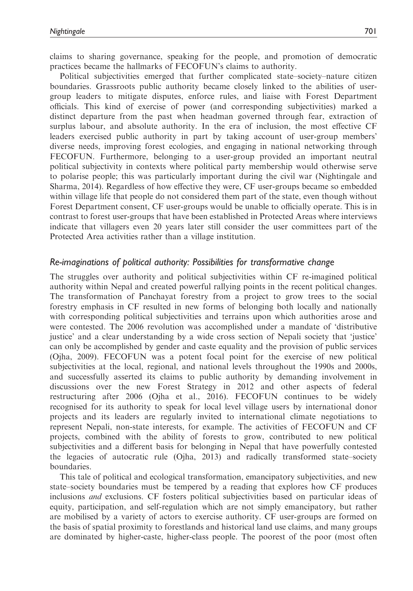claims to sharing governance, speaking for the people, and promotion of democratic practices became the hallmarks of FECOFUN's claims to authority.

Political subjectivities emerged that further complicated state–society–nature citizen boundaries. Grassroots public authority became closely linked to the abilities of usergroup leaders to mitigate disputes, enforce rules, and liaise with Forest Department officials. This kind of exercise of power (and corresponding subjectivities) marked a distinct departure from the past when headman governed through fear, extraction of surplus labour, and absolute authority. In the era of inclusion, the most effective CF leaders exercised public authority in part by taking account of user-group members' diverse needs, improving forest ecologies, and engaging in national networking through FECOFUN. Furthermore, belonging to a user-group provided an important neutral political subjectivity in contexts where political party membership would otherwise serve to polarise people; this was particularly important during the civil war (Nightingale and Sharma, 2014). Regardless of how effective they were, CF user-groups became so embedded within village life that people do not considered them part of the state, even though without Forest Department consent, CF user-groups would be unable to officially operate. This is in contrast to forest user-groups that have been established in Protected Areas where interviews indicate that villagers even 20 years later still consider the user committees part of the Protected Area activities rather than a village institution.

## Re-imaginations of political authority: Possibilities for transformative change

The struggles over authority and political subjectivities within CF re-imagined political authority within Nepal and created powerful rallying points in the recent political changes. The transformation of Panchayat forestry from a project to grow trees to the social forestry emphasis in CF resulted in new forms of belonging both locally and nationally with corresponding political subjectivities and terrains upon which authorities arose and were contested. The 2006 revolution was accomplished under a mandate of 'distributive justice' and a clear understanding by a wide cross section of Nepali society that 'justice' can only be accomplished by gender and caste equality and the provision of public services (Ojha, 2009). FECOFUN was a potent focal point for the exercise of new political subjectivities at the local, regional, and national levels throughout the 1990s and 2000s, and successfully asserted its claims to public authority by demanding involvement in discussions over the new Forest Strategy in 2012 and other aspects of federal restructuring after 2006 (Ojha et al., 2016). FECOFUN continues to be widely recognised for its authority to speak for local level village users by international donor projects and its leaders are regularly invited to international climate negotiations to represent Nepali, non-state interests, for example. The activities of FECOFUN and CF projects, combined with the ability of forests to grow, contributed to new political subjectivities and a different basis for belonging in Nepal that have powerfully contested the legacies of autocratic rule (Ojha, 2013) and radically transformed state–society boundaries.

This tale of political and ecological transformation, emancipatory subjectivities, and new state–society boundaries must be tempered by a reading that explores how CF produces inclusions and exclusions. CF fosters political subjectivities based on particular ideas of equity, participation, and self-regulation which are not simply emancipatory, but rather are mobilised by a variety of actors to exercise authority. CF user-groups are formed on the basis of spatial proximity to forestlands and historical land use claims, and many groups are dominated by higher-caste, higher-class people. The poorest of the poor (most often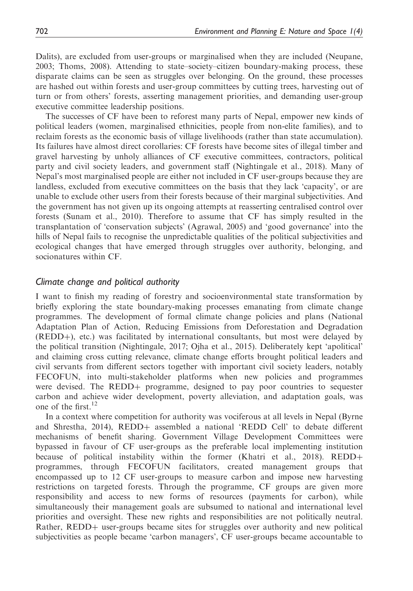Dalits), are excluded from user-groups or marginalised when they are included (Neupane, 2003; Thoms, 2008). Attending to state–society–citizen boundary-making process, these disparate claims can be seen as struggles over belonging. On the ground, these processes are hashed out within forests and user-group committees by cutting trees, harvesting out of turn or from others' forests, asserting management priorities, and demanding user-group executive committee leadership positions.

The successes of CF have been to reforest many parts of Nepal, empower new kinds of political leaders (women, marginalised ethnicities, people from non-elite families), and to reclaim forests as the economic basis of village livelihoods (rather than state accumulation). Its failures have almost direct corollaries: CF forests have become sites of illegal timber and gravel harvesting by unholy alliances of CF executive committees, contractors, political party and civil society leaders, and government staff (Nightingale et al., 2018). Many of Nepal's most marginalised people are either not included in CF user-groups because they are landless, excluded from executive committees on the basis that they lack 'capacity', or are unable to exclude other users from their forests because of their marginal subjectivities. And the government has not given up its ongoing attempts at reasserting centralised control over forests (Sunam et al., 2010). Therefore to assume that CF has simply resulted in the transplantation of 'conservation subjects' (Agrawal, 2005) and 'good governance' into the hills of Nepal fails to recognise the unpredictable qualities of the political subjectivities and ecological changes that have emerged through struggles over authority, belonging, and socionatures within CF.

### Climate change and political authority

I want to finish my reading of forestry and socioenvironmental state transformation by briefly exploring the state boundary-making processes emanating from climate change programmes. The development of formal climate change policies and plans (National Adaptation Plan of Action, Reducing Emissions from Deforestation and Degradation  $(REDD+)$ , etc.) was facilitated by international consultants, but most were delayed by the political transition (Nightingale, 2017; Ojha et al., 2015). Deliberately kept 'apolitical' and claiming cross cutting relevance, climate change efforts brought political leaders and civil servants from different sectors together with important civil society leaders, notably FECOFUN, into multi-stakeholder platforms when new policies and programmes were devised. The REDD+ programme, designed to pay poor countries to sequester carbon and achieve wider development, poverty alleviation, and adaptation goals, was one of the first.<sup>12</sup>

In a context where competition for authority was vociferous at all levels in Nepal (Byrne and Shrestha, 2014), REDD+ assembled a national 'REDD Cell' to debate different mechanisms of benefit sharing. Government Village Development Committees were bypassed in favour of CF user-groups as the preferable local implementing institution because of political instability within the former (Khatri et al., 2018). REDD+ programmes, through FECOFUN facilitators, created management groups that encompassed up to 12 CF user-groups to measure carbon and impose new harvesting restrictions on targeted forests. Through the programme, CF groups are given more responsibility and access to new forms of resources (payments for carbon), while simultaneously their management goals are subsumed to national and international level priorities and oversight. These new rights and responsibilities are not politically neutral. Rather, REDD+ user-groups became sites for struggles over authority and new political subjectivities as people became 'carbon managers', CF user-groups became accountable to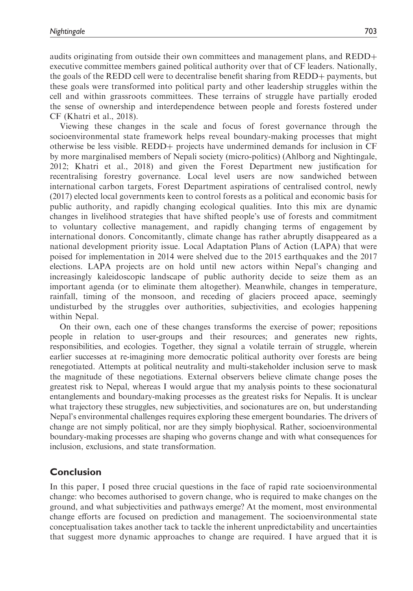audits originating from outside their own committees and management plans, and  $REDD+$ executive committee members gained political authority over that of CF leaders. Nationally, the goals of the REDD cell were to decentralise benefit sharing from REDD+ payments, but these goals were transformed into political party and other leadership struggles within the cell and within grassroots committees. These terrains of struggle have partially eroded the sense of ownership and interdependence between people and forests fostered under CF (Khatri et al., 2018).

Viewing these changes in the scale and focus of forest governance through the socioenvironmental state framework helps reveal boundary-making processes that might otherwise be less visible.  $REDD+$  projects have undermined demands for inclusion in  $CF$ by more marginalised members of Nepali society (micro-politics) (Ahlborg and Nightingale, 2012; Khatri et al., 2018) and given the Forest Department new justification for recentralising forestry governance. Local level users are now sandwiched between international carbon targets, Forest Department aspirations of centralised control, newly (2017) elected local governments keen to control forests as a political and economic basis for public authority, and rapidly changing ecological qualities. Into this mix are dynamic changes in livelihood strategies that have shifted people's use of forests and commitment to voluntary collective management, and rapidly changing terms of engagement by international donors. Concomitantly, climate change has rather abruptly disappeared as a national development priority issue. Local Adaptation Plans of Action (LAPA) that were poised for implementation in 2014 were shelved due to the 2015 earthquakes and the 2017 elections. LAPA projects are on hold until new actors within Nepal's changing and increasingly kaleidoscopic landscape of public authority decide to seize them as an important agenda (or to eliminate them altogether). Meanwhile, changes in temperature, rainfall, timing of the monsoon, and receding of glaciers proceed apace, seemingly undisturbed by the struggles over authorities, subjectivities, and ecologies happening within Nepal.

On their own, each one of these changes transforms the exercise of power; repositions people in relation to user-groups and their resources; and generates new rights, responsibilities, and ecologies. Together, they signal a volatile terrain of struggle, wherein earlier successes at re-imagining more democratic political authority over forests are being renegotiated. Attempts at political neutrality and multi-stakeholder inclusion serve to mask the magnitude of these negotiations. External observers believe climate change poses the greatest risk to Nepal, whereas I would argue that my analysis points to these socionatural entanglements and boundary-making processes as the greatest risks for Nepalis. It is unclear what trajectory these struggles, new subjectivities, and socionatures are on, but understanding Nepal's environmental challenges requires exploring these emergent boundaries. The drivers of change are not simply political, nor are they simply biophysical. Rather, socioenvironmental boundary-making processes are shaping who governs change and with what consequences for inclusion, exclusions, and state transformation.

# Conclusion

In this paper, I posed three crucial questions in the face of rapid rate socioenvironmental change: who becomes authorised to govern change, who is required to make changes on the ground, and what subjectivities and pathways emerge? At the moment, most environmental change efforts are focused on prediction and management. The socioenvironmental state conceptualisation takes another tack to tackle the inherent unpredictability and uncertainties that suggest more dynamic approaches to change are required. I have argued that it is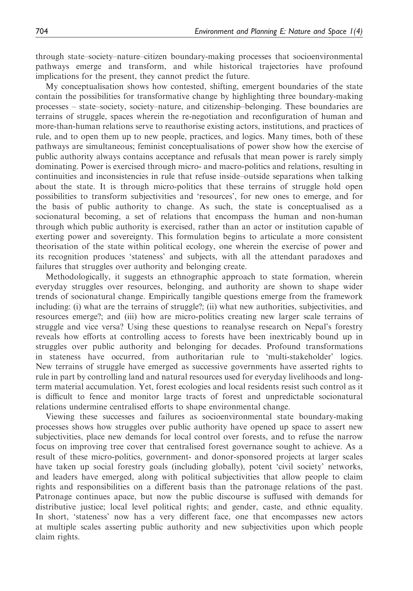through state–society–nature–citizen boundary-making processes that socioenvironmental pathways emerge and transform, and while historical trajectories have profound implications for the present, they cannot predict the future.

My conceptualisation shows how contested, shifting, emergent boundaries of the state contain the possibilities for transformative change by highlighting three boundary-making processes – state–society, society–nature, and citizenship–belonging. These boundaries are terrains of struggle, spaces wherein the re-negotiation and reconfiguration of human and more-than-human relations serve to reauthorise existing actors, institutions, and practices of rule, and to open them up to new people, practices, and logics. Many times, both of these pathways are simultaneous; feminist conceptualisations of power show how the exercise of public authority always contains acceptance and refusals that mean power is rarely simply dominating. Power is exercised through micro- and macro-politics and relations, resulting in continuities and inconsistencies in rule that refuse inside–outside separations when talking about the state. It is through micro-politics that these terrains of struggle hold open possibilities to transform subjectivities and 'resources', for new ones to emerge, and for the basis of public authority to change. As such, the state is conceptualised as a socionatural becoming, a set of relations that encompass the human and non-human through which public authority is exercised, rather than an actor or institution capable of exerting power and sovereignty. This formulation begins to articulate a more consistent theorisation of the state within political ecology, one wherein the exercise of power and its recognition produces 'stateness' and subjects, with all the attendant paradoxes and failures that struggles over authority and belonging create.

Methodologically, it suggests an ethnographic approach to state formation, wherein everyday struggles over resources, belonging, and authority are shown to shape wider trends of socionatural change. Empirically tangible questions emerge from the framework including: (i) what are the terrains of struggle?; (ii) what new authorities, subjectivities, and resources emerge?; and (iii) how are micro-politics creating new larger scale terrains of struggle and vice versa? Using these questions to reanalyse research on Nepal's forestry reveals how efforts at controlling access to forests have been inextricably bound up in struggles over public authority and belonging for decades. Profound transformations in stateness have occurred, from authoritarian rule to 'multi-stakeholder' logics. New terrains of struggle have emerged as successive governments have asserted rights to rule in part by controlling land and natural resources used for everyday livelihoods and longterm material accumulation. Yet, forest ecologies and local residents resist such control as it is difficult to fence and monitor large tracts of forest and unpredictable socionatural relations undermine centralised efforts to shape environmental change.

Viewing these successes and failures as socioenvironmental state boundary-making processes shows how struggles over public authority have opened up space to assert new subjectivities, place new demands for local control over forests, and to refuse the narrow focus on improving tree cover that centralised forest governance sought to achieve. As a result of these micro-politics, government- and donor-sponsored projects at larger scales have taken up social forestry goals (including globally), potent 'civil society' networks, and leaders have emerged, along with political subjectivities that allow people to claim rights and responsibilities on a different basis than the patronage relations of the past. Patronage continues apace, but now the public discourse is suffused with demands for distributive justice; local level political rights; and gender, caste, and ethnic equality. In short, 'stateness' now has a very different face, one that encompasses new actors at multiple scales asserting public authority and new subjectivities upon which people claim rights.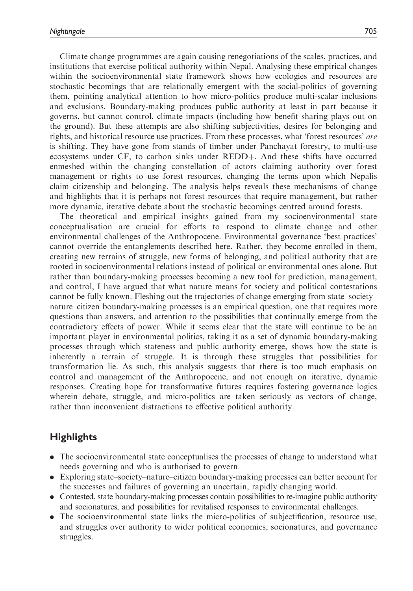Climate change programmes are again causing renegotiations of the scales, practices, and institutions that exercise political authority within Nepal. Analysing these empirical changes within the socioenvironmental state framework shows how ecologies and resources are stochastic becomings that are relationally emergent with the social-politics of governing them, pointing analytical attention to how micro-politics produce multi-scalar inclusions and exclusions. Boundary-making produces public authority at least in part because it governs, but cannot control, climate impacts (including how benefit sharing plays out on the ground). But these attempts are also shifting subjectivities, desires for belonging and rights, and historical resource use practices. From these processes, what 'forest resources' are is shifting. They have gone from stands of timber under Panchayat forestry, to multi-use ecosystems under CF, to carbon sinks under REDD+. And these shifts have occurred enmeshed within the changing constellation of actors claiming authority over forest management or rights to use forest resources, changing the terms upon which Nepalis claim citizenship and belonging. The analysis helps reveals these mechanisms of change and highlights that it is perhaps not forest resources that require management, but rather more dynamic, iterative debate about the stochastic becomings centred around forests.

The theoretical and empirical insights gained from my socioenvironmental state conceptualisation are crucial for efforts to respond to climate change and other environmental challenges of the Anthropocene. Environmental governance 'best practices' cannot override the entanglements described here. Rather, they become enrolled in them, creating new terrains of struggle, new forms of belonging, and political authority that are rooted in socioenvironmental relations instead of political or environmental ones alone. But rather than boundary-making processes becoming a new tool for prediction, management, and control, I have argued that what nature means for society and political contestations cannot be fully known. Fleshing out the trajectories of change emerging from state–society– nature–citizen boundary-making processes is an empirical question, one that requires more questions than answers, and attention to the possibilities that continually emerge from the contradictory effects of power. While it seems clear that the state will continue to be an important player in environmental politics, taking it as a set of dynamic boundary-making processes through which stateness and public authority emerge, shows how the state is inherently a terrain of struggle. It is through these struggles that possibilities for transformation lie. As such, this analysis suggests that there is too much emphasis on control and management of the Anthropocene, and not enough on iterative, dynamic responses. Creating hope for transformative futures requires fostering governance logics wherein debate, struggle, and micro-politics are taken seriously as vectors of change, rather than inconvenient distractions to effective political authority.

## **Highlights**

- . The socioenvironmental state conceptualises the processes of change to understand what needs governing and who is authorised to govern.
- . Exploring state–society–nature–citizen boundary-making processes can better account for the successes and failures of governing an uncertain, rapidly changing world.
- . Contested, state boundary-making processes contain possibilities to re-imagine public authority and socionatures, and possibilities for revitalised responses to environmental challenges.
- . The socioenvironmental state links the micro-politics of subjectification, resource use, and struggles over authority to wider political economies, socionatures, and governance struggles.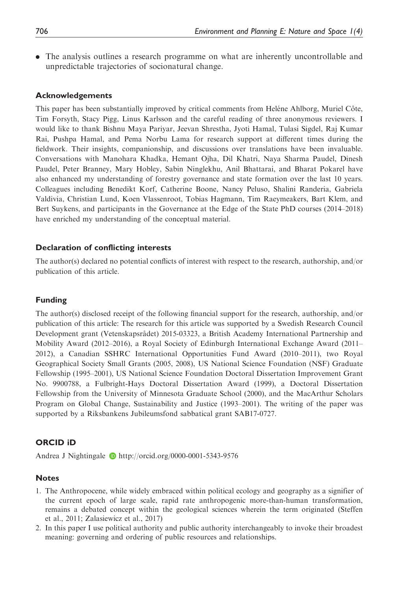. The analysis outlines a research programme on what are inherently uncontrollable and unpredictable trajectories of socionatural change.

### Acknowledgements

This paper has been substantially improved by critical comments from Heléne Ahlborg, Muriel Côte, Tim Forsyth, Stacy Pigg, Linus Karlsson and the careful reading of three anonymous reviewers. I would like to thank Bishnu Maya Pariyar, Jeevan Shrestha, Jyoti Hamal, Tulasi Sigdel, Raj Kumar Rai, Pushpa Hamal, and Pema Norbu Lama for research support at different times during the fieldwork. Their insights, companionship, and discussions over translations have been invaluable. Conversations with Manohara Khadka, Hemant Ojha, Dil Khatri, Naya Sharma Paudel, Dinesh Paudel, Peter Branney, Mary Hobley, Sabin Ninglekhu, Anil Bhattarai, and Bharat Pokarel have also enhanced my understanding of forestry governance and state formation over the last 10 years. Colleagues including Benedikt Korf, Catherine Boone, Nancy Peluso, Shalini Randeria, Gabriela Valdivia, Christian Lund, Koen Vlassenroot, Tobias Hagmann, Tim Raeymeakers, Bart Klem, and Bert Suykens, and participants in the Governance at the Edge of the State PhD courses (2014–2018) have enriched my understanding of the conceptual material.

### Declaration of conflicting interests

The author(s) declared no potential conflicts of interest with respect to the research, authorship, and/or publication of this article.

### Funding

The author(s) disclosed receipt of the following financial support for the research, authorship, and/or publication of this article: The research for this article was supported by a Swedish Research Council Development grant (Vetenskapsrådet) 2015-03323, a British Academy International Partnership and Mobility Award (2012–2016), a Royal Society of Edinburgh International Exchange Award (2011– 2012), a Canadian SSHRC International Opportunities Fund Award (2010–2011), two Royal Geographical Society Small Grants (2005, 2008), US National Science Foundation (NSF) Graduate Fellowship (1995–2001), US National Science Foundation Doctoral Dissertation Improvement Grant No. 9900788, a Fulbright-Hays Doctoral Dissertation Award (1999), a Doctoral Dissertation Fellowship from the University of Minnesota Graduate School (2000), and the MacArthur Scholars Program on Global Change, Sustainability and Justice (1993–2001). The writing of the paper was supported by a Riksbankens Jubileumsfond sabbatical grant SAB17-0727.

### ORCID iD

Andrea J Nightingale **I** <http://orcid.org/0000-0001-5343-9576>

### **Notes**

- 1. The Anthropocene, while widely embraced within political ecology and geography as a signifier of the current epoch of large scale, rapid rate anthropogenic more-than-human transformation, remains a debated concept within the geological sciences wherein the term originated (Steffen et al., 2011; Zalasiewicz et al., 2017)
- 2. In this paper I use political authority and public authority interchangeably to invoke their broadest meaning: governing and ordering of public resources and relationships.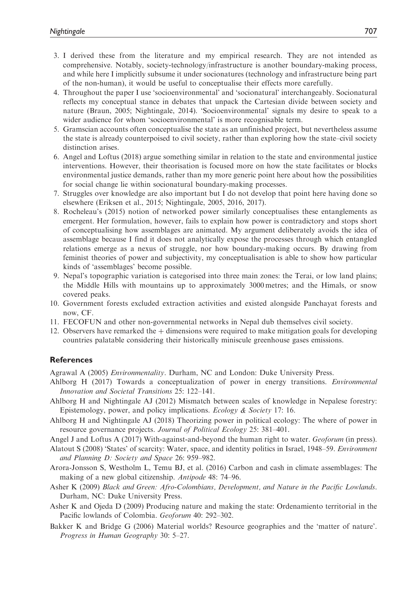- 3. I derived these from the literature and my empirical research. They are not intended as comprehensive. Notably, society-technology/infrastructure is another boundary-making process, and while here I implicitly subsume it under socionatures (technology and infrastructure being part of the non-human), it would be useful to conceptualise their effects more carefully.
- 4. Throughout the paper I use 'socioenvironmental' and 'socionatural' interchangeably. Socionatural reflects my conceptual stance in debates that unpack the Cartesian divide between society and nature (Braun, 2005; Nightingale, 2014). 'Socioenvironmental' signals my desire to speak to a wider audience for whom 'socioenvironmental' is more recognisable term.
- 5. Gramscian accounts often conceptualise the state as an unfinished project, but nevertheless assume the state is already counterpoised to civil society, rather than exploring how the state–civil society distinction arises.
- 6. Angel and Loftus (2018) argue something similar in relation to the state and environmental justice interventions. However, their theorisation is focused more on how the state facilitates or blocks environmental justice demands, rather than my more generic point here about how the possibilities for social change lie within socionatural boundary-making processes.
- 7. Struggles over knowledge are also important but I do not develop that point here having done so elsewhere (Eriksen et al., 2015; Nightingale, 2005, 2016, 2017).
- 8. Rocheleau's (2015) notion of networked power similarly conceptualises these entanglements as emergent. Her formulation, however, fails to explain how power is contradictory and stops short of conceptualising how assemblages are animated. My argument deliberately avoids the idea of assemblage because I find it does not analytically expose the processes through which entangled relations emerge as a nexus of struggle, nor how boundary-making occurs. By drawing from feminist theories of power and subjectivity, my conceptualisation is able to show how particular kinds of 'assemblages' become possible.
- 9. Nepal's topographic variation is categorised into three main zones: the Terai, or low land plains; the Middle Hills with mountains up to approximately 3000 metres; and the Himals, or snow covered peaks.
- 10. Government forests excluded extraction activities and existed alongside Panchayat forests and now, CF.
- 11. FECOFUN and other non-governmental networks in Nepal dub themselves civil society.
- 12. Observers have remarked the  $+$  dimensions were required to make mitigation goals for developing countries palatable considering their historically miniscule greenhouse gases emissions.

### **References**

Agrawal A (2005) Environmentality. Durham, NC and London: Duke University Press.

- Ahlborg H (2017) Towards a conceptualization of power in energy transitions. Environmental Innovation and Societal Transitions 25: 122–141.
- Ahlborg H and Nightingale AJ (2012) Mismatch between scales of knowledge in Nepalese forestry: Epistemology, power, and policy implications. Ecology & Society 17: 16.
- Ahlborg H and Nightingale AJ (2018) Theorizing power in political ecology: The where of power in resource governance projects. Journal of Political Ecology 25: 381–401.

Angel J and Loftus A (2017) With-against-and-beyond the human right to water. Geoforum (in press).

- Alatout S (2008) 'States' of scarcity: Water, space, and identity politics in Israel, 1948–59. Environment and Planning D: Society and Space 26: 959–982.
- Arora-Jonsson S, Westholm L, Temu BJ, et al. (2016) Carbon and cash in climate assemblages: The making of a new global citizenship. Antipode 48: 74–96.
- Asher K (2009) Black and Green: Afro-Colombians, Development, and Nature in the Pacific Lowlands. Durham, NC: Duke University Press.
- Asher K and Ojeda D (2009) Producing nature and making the state: Ordenamiento territorial in the Pacific lowlands of Colombia. Geoforum 40: 292–302.
- Bakker K and Bridge G (2006) Material worlds? Resource geographies and the 'matter of nature'. Progress in Human Geography 30: 5–27.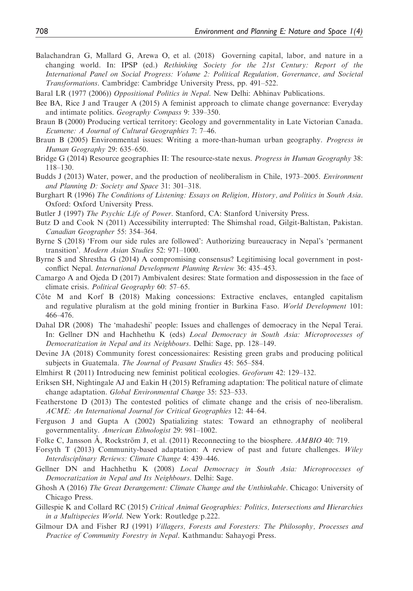- Balachandran G, Mallard G, Arewa O, et al. (2018) Governing capital, labor, and nature in a changing world. In: IPSP (ed.) Rethinking Society for the 21st Century: Report of the International Panel on Social Progress: Volume 2: Political Regulation, Governance, and Societal Transformations. Cambridge: Cambridge University Press, pp. 491–522.
- Baral LR (1977 (2006)) Oppositional Politics in Nepal. New Delhi: Abhinav Publications.
- Bee BA, Rice J and Trauger A (2015) A feminist approach to climate change governance: Everyday and intimate politics. Geography Compass 9: 339–350.
- Braun B (2000) Producing vertical territory: Geology and governmentality in Late Victorian Canada. Ecumene: A Journal of Cultural Geographies 7: 7–46.
- Braun B (2005) Environmental issues: Writing a more-than-human urban geography. Progress in Human Geography 29: 635–650.
- Bridge G (2014) Resource geographies II: The resource-state nexus. *Progress in Human Geography* 38: 118–130.
- Budds J (2013) Water, power, and the production of neoliberalism in Chile, 1973–2005. Environment and Planning D: Society and Space 31: 301–318.
- Burghart R (1996) The Conditions of Listening: Essays on Religion, History, and Politics in South Asia. Oxford: Oxford University Press.
- Butler J (1997) The Psychic Life of Power. Stanford, CA: Stanford University Press.
- Butz D and Cook N (2011) Accessibility interrupted: The Shimshal road, Gilgit-Baltistan, Pakistan. Canadian Geographer 55: 354–364.
- Byrne S (2018) 'From our side rules are followed': Authorizing bureaucracy in Nepal's 'permanent transition'. Modern Asian Studies 52: 971–1000.
- Byrne S and Shrestha G (2014) A compromising consensus? Legitimising local government in postconflict Nepal. International Development Planning Review 36: 435–453.
- Camargo A and Ojeda D (2017) Ambivalent desires: State formation and dispossession in the face of climate crisis. Political Geography 60: 57–65.
- Côte M and Korf B (2018) Making concessions: Extractive enclaves, entangled capitalism and regulative pluralism at the gold mining frontier in Burkina Faso. World Development 101: 466–476.
- Dahal DR (2008) The 'mahadeshi' people: Issues and challenges of democracy in the Nepal Terai. In: Gellner DN and Hachhethu K (eds) Local Democracy in South Asia: Microprocesses of Democratization in Nepal and its Neighbours. Delhi: Sage, pp. 128–149.
- Devine JA (2018) Community forest concessionaires: Resisting green grabs and producing political subjects in Guatemala. The Journal of Peasant Studies 45: 565–584.
- Elmhirst R (2011) Introducing new feminist political ecologies. Geoforum 42: 129–132.
- Eriksen SH, Nightingale AJ and Eakin H (2015) Reframing adaptation: The political nature of climate change adaptation. Global Environmental Change 35: 523–533.
- Featherstone D (2013) The contested politics of climate change and the crisis of neo-liberalism. ACME: An International Journal for Critical Geographies 12: 44–64.
- Ferguson J and Gupta A (2002) Spatializing states: Toward an ethnography of neoliberal governmentality. American Ethnologist 29: 981–1002.
- Folke C, Jansson A, Rockström J, et al. (2011) Reconnecting to the biosphere. AMBIO 40: 719.
- Forsyth T (2013) Community-based adaptation: A review of past and future challenges. Wiley Interdisciplinary Reviews: Climate Change 4: 439–446.
- Gellner DN and Hachhethu K (2008) Local Democracy in South Asia: Microprocesses of Democratization in Nepal and Its Neighbours. Delhi: Sage.
- Ghosh A (2016) The Great Derangement: Climate Change and the Unthinkable. Chicago: University of Chicago Press.
- Gillespie K and Collard RC (2015) Critical Animal Geographies: Politics, Intersections and Hierarchies in a Multispecies World. New York: Routledge p.222.
- Gilmour DA and Fisher RJ (1991) Villagers, Forests and Foresters: The Philosophy, Processes and Practice of Community Forestry in Nepal. Kathmandu: Sahayogi Press.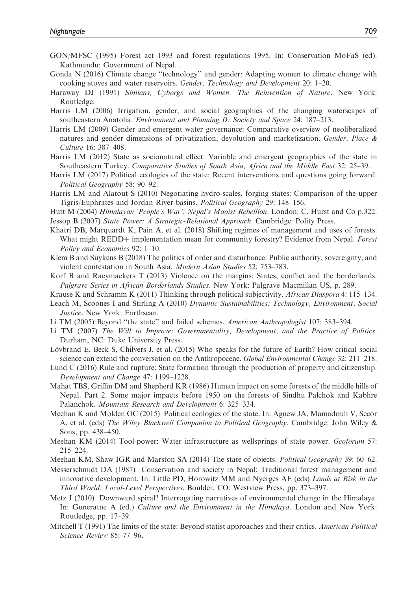- GON/MFSC (1995) Forest act 1993 and forest regulations 1995. In: Conservation MoFaS (ed). Kathmandu: Government of Nepal. .
- Gonda N (2016) Climate change ''technology'' and gender: Adapting women to climate change with cooking stoves and water reservoirs. Gender, Technology and Development 20: 1–20.
- Haraway DJ (1991) Simians, Cyborgs and Women: The Reinvention of Nature. New York: Routledge.
- Harris LM (2006) Irrigation, gender, and social geographies of the changing waterscapes of southeastern Anatolia. Environment and Planning D: Society and Space 24: 187-213.
- Harris LM (2009) Gender and emergent water governance: Comparative overview of neoliberalized natures and gender dimensions of privatization, devolution and marketization. Gender, Place & Culture 16: 387–408.
- Harris LM (2012) State as socionatural effect: Variable and emergent geographies of the state in Southeastern Turkey. Comparative Studies of South Asia, Africa and the Middle East 32: 25–39.
- Harris LM (2017) Political ecologies of the state: Recent interventions and questions going forward. Political Geography 58: 90–92.
- Harris LM and Alatout S (2010) Negotiating hydro-scales, forging states: Comparison of the upper Tigris/Euphrates and Jordan River basins. Political Geography 29: 148–156.

Hutt M (2004) Himalayan 'People's War': Nepal's Maoist Rebellion. London: C. Hurst and Co p.322. Jessop B (2007) State Power: A Strategic-Relational Approach. Cambridge: Polity Press.

- Khatri DB, Marquardt K, Pain A, et al. (2018) Shifting regimes of management and uses of forests: What might REDD+ implementation mean for community forestry? Evidence from Nepal. *Forest* Policy and Economics 92: 1–10.
- Klem B and Suykens B (2018) The politics of order and disturbance: Public authority, sovereignty, and violent contestation in South Asia. Modern Asian Studies 52: 753–783.
- Korf B and Raeymaekers T (2013) Violence on the margins: States, conflict and the borderlands. Palgrave Series in African Borderlands Studies. New York: Palgrave Macmillan US, p. 289.
- Krause K and Schramm K (2011) Thinking through political subjectivity. African Diaspora 4: 115–134.
- Leach M, Scoones I and Stirling A (2010) Dynamic Sustainabilities: Technology, Environment, Social Justice. New York: Earthscan.
- Li TM (2005) Beyond ''the state'' and failed schemes. American Anthropologist 107: 383–394.
- Li TM (2007) The Will to Improve: Governmentality, Development, and the Practice of Politics. Durham, NC: Duke University Press.
- Lövbrand E, Beck S, Chilvers J, et al. (2015) Who speaks for the future of Earth? How critical social science can extend the conversation on the Anthropocene. Global Environmental Change 32: 211–218.
- Lund C (2016) Rule and rupture: State formation through the production of property and citizenship. Development and Change 47: 1199–1228.
- Mahat TBS, Griffin DM and Shepherd KR (1986) Human impact on some forests of the middle hills of Nepal. Part 2. Some major impacts before 1950 on the forests of Sindhu Palchok and Kabhre Palanchok. Mountain Research and Development 6: 325–334.
- Meehan K and Molden OC (2015) Political ecologies of the state. In: Agnew JA, Mamadouh V, Secor A, et al. (eds) The Wiley Blackwell Companion to Political Geography. Cambridge: John Wiley & Sons, pp. 438–450.
- Meehan KM (2014) Tool-power: Water infrastructure as wellsprings of state power. Geoforum 57: 215–224.
- Meehan KM, Shaw IGR and Marston SA (2014) The state of objects. Political Geography 39: 60–62.
- Messerschmidt DA (1987) Conservation and society in Nepal: Traditional forest management and innovative development. In: Little PD, Horowitz MM and Nyerges AE (eds) Lands at Risk in the Third World: Local-Level Perspectives. Boulder, CO: Westview Press, pp. 373–397.
- Metz J (2010) Downward spiral? Interrogating narratives of environmental change in the Himalaya. In: Guneratne A (ed.) Culture and the Environment in the Himalaya. London and New York: Routledge, pp. 17–39.
- Mitchell T (1991) The limits of the state: Beyond statist approaches and their critics. American Political Science Review 85: 77–96.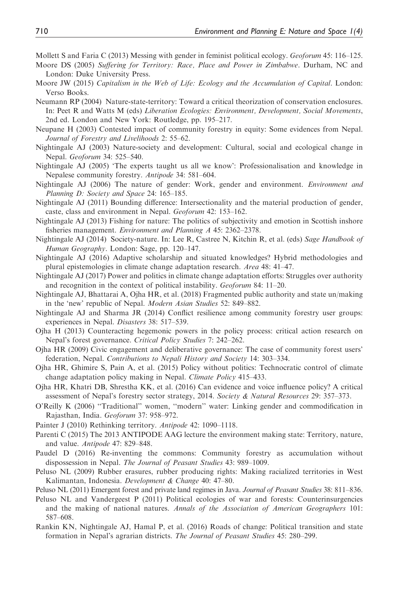Mollett S and Faria C (2013) Messing with gender in feminist political ecology. *Geoforum* 45: 116–125.

- Moore DS (2005) Suffering for Territory: Race, Place and Power in Zimbabwe. Durham, NC and London: Duke University Press.
- Moore JW (2015) Capitalism in the Web of Life: Ecology and the Accumulation of Capital. London: Verso Books.
- Neumann RP (2004) Nature-state-territory: Toward a critical theorization of conservation enclosures. In: Peet R and Watts M (eds) Liberation Ecologies: Environment, Development, Social Movements, 2nd ed. London and New York: Routledge, pp. 195–217.
- Neupane H (2003) Contested impact of community forestry in equity: Some evidences from Nepal. Journal of Forestry and Livelihoods 2: 55–62.
- Nightingale AJ (2003) Nature-society and development: Cultural, social and ecological change in Nepal. Geoforum 34: 525–540.
- Nightingale AJ (2005) 'The experts taught us all we know': Professionalisation and knowledge in Nepalese community forestry. Antipode 34: 581–604.
- Nightingale AJ (2006) The nature of gender: Work, gender and environment. Environment and Planning D: Society and Space 24: 165-185.
- Nightingale AJ (2011) Bounding difference: Intersectionality and the material production of gender, caste, class and environment in Nepal. Geoforum 42: 153–162.
- Nightingale AJ (2013) Fishing for nature: The politics of subjectivity and emotion in Scottish inshore fisheries management. Environment and Planning A 45: 2362–2378.
- Nightingale AJ (2014) Society-nature. In: Lee R, Castree N, Kitchin R, et al. (eds) Sage Handbook of Human Geography. London: Sage, pp. 120–147.
- Nightingale AJ (2016) Adaptive scholarship and situated knowledges? Hybrid methodologies and plural epistemologies in climate change adaptation research. Area 48: 41–47.
- Nightingale AJ (2017) Power and politics in climate change adaptation efforts: Struggles over authority and recognition in the context of political instability. Geoforum 84: 11–20.
- Nightingale AJ, Bhattarai A, Ojha HR, et al. (2018) Fragmented public authority and state un/making in the 'new' republic of Nepal. Modern Asian Studies 52: 849–882.
- Nightingale AJ and Sharma JR (2014) Conflict resilience among community forestry user groups: experiences in Nepal. Disasters 38: 517–539.
- Ojha H (2013) Counteracting hegemonic powers in the policy process: critical action research on Nepal's forest governance. Critical Policy Studies 7: 242–262.
- Ojha HR (2009) Civic engagement and deliberative governance: The case of community forest users' federation, Nepal. Contributions to Nepali History and Society 14: 303–334.
- Ojha HR, Ghimire S, Pain A, et al. (2015) Policy without politics: Technocratic control of climate change adaptation policy making in Nepal. Climate Policy 415–433.
- Ojha HR, Khatri DB, Shrestha KK, et al. (2016) Can evidence and voice influence policy? A critical assessment of Nepal's forestry sector strategy, 2014. Society & Natural Resources 29: 357–373.
- O'Reilly K (2006) ''Traditional'' women, ''modern'' water: Linking gender and commodification in Rajasthan, India. Geoforum 37: 958–972.
- Painter J (2010) Rethinking territory. Antipode 42: 1090-1118.
- Parenti C (2015) The 2013 ANTIPODE AAG lecture the environment making state: Territory, nature, and value. Antipode 47: 829–848.
- Paudel D (2016) Re-inventing the commons: Community forestry as accumulation without dispossession in Nepal. The Journal of Peasant Studies 43: 989–1009.
- Peluso NL (2009) Rubber erasures, rubber producing rights: Making racialized territories in West Kalimantan, Indonesia. Development & Change 40: 47–80.
- Peluso NL (2011) Emergent forest and private land regimes in Java. Journal of Peasant Studies 38: 811–836.
- Peluso NL and Vandergeest P (2011) Political ecologies of war and forests: Counterinsurgencies and the making of national natures. Annals of the Association of American Geographers 101: 587–608.
- Rankin KN, Nightingale AJ, Hamal P, et al. (2016) Roads of change: Political transition and state formation in Nepal's agrarian districts. The Journal of Peasant Studies 45: 280–299.